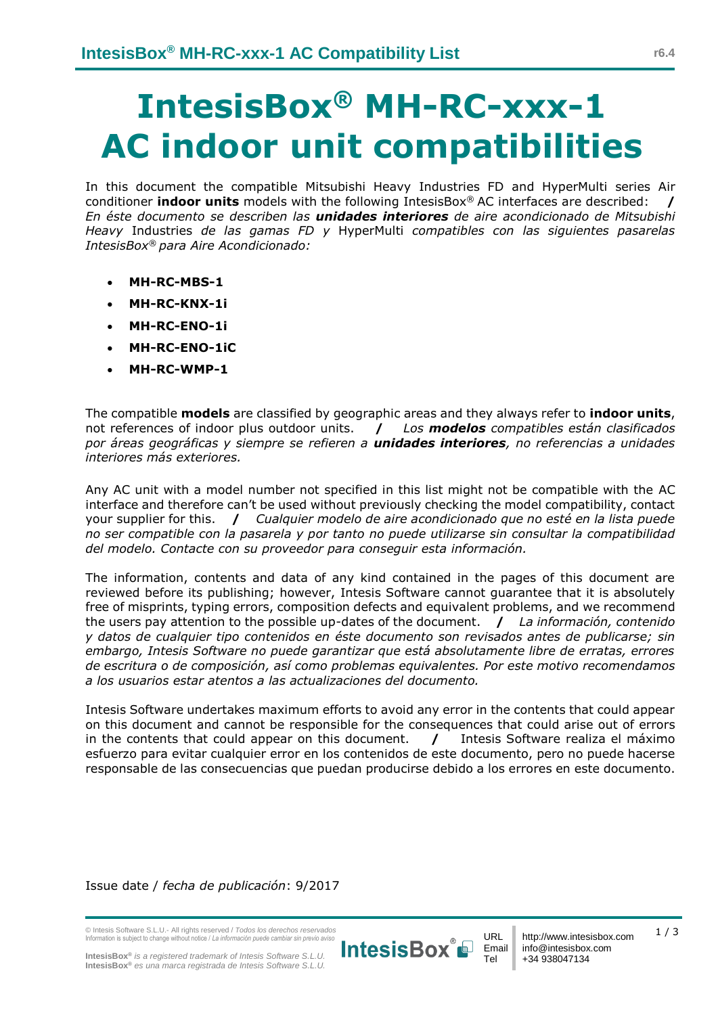## **IntesisBox® MH-RC-xxx-1 AC indoor unit compatibilities**

In this document the compatible Mitsubishi Heavy Industries FD and HyperMulti series Air conditioner **indoor units** models with the following IntesisBox® AC interfaces are described: **/** *En éste documento se describen las unidades interiores de aire acondicionado de Mitsubishi Heavy* Industries *de las gamas FD y* HyperMulti *compatibles con las siguientes pasarelas IntesisBox® para Aire Acondicionado:*

- **MH-RC-MBS-1**
- **MH-RC-KNX-1i**
- **MH-RC-ENO-1i**
- **MH-RC-ENO-1iC**
- **MH-RC-WMP-1**

The compatible **models** are classified by geographic areas and they always refer to **indoor units**, not references of indoor plus outdoor units. **/** *Los modelos compatibles están clasificados por áreas geográficas y siempre se refieren a unidades interiores, no referencias a unidades interiores más exteriores.*

Any AC unit with a model number not specified in this list might not be compatible with the AC interface and therefore can't be used without previously checking the model compatibility, contact your supplier for this. **/** *Cualquier modelo de aire acondicionado que no esté en la lista puede no ser compatible con la pasarela y por tanto no puede utilizarse sin consultar la compatibilidad del modelo. Contacte con su proveedor para conseguir esta información.* 

The information, contents and data of any kind contained in the pages of this document are reviewed before its publishing; however, Intesis Software cannot guarantee that it is absolutely free of misprints, typing errors, composition defects and equivalent problems, and we recommend the users pay attention to the possible up-dates of the document. **/** *La información, contenido y datos de cualquier tipo contenidos en éste documento son revisados antes de publicarse; sin embargo, Intesis Software no puede garantizar que está absolutamente libre de erratas, errores de escritura o de composición, así como problemas equivalentes. Por este motivo recomendamos a los usuarios estar atentos a las actualizaciones del documento.*

Intesis Software undertakes maximum efforts to avoid any error in the contents that could appear on this document and cannot be responsible for the consequences that could arise out of errors in the contents that could appear on this document. **/** Intesis Software realiza el máximo esfuerzo para evitar cualquier error en los contenidos de este documento, pero no puede hacerse responsable de las consecuencias que puedan producirse debido a los errores en este documento.

Issue date / *fecha de publicación*: 9/2017

© Intesis Software S.L.U.- All rights reserved / *Todos los derechos reservados* Information is subject to change without notice / *La información puede cambiar sin previo aviso*



URL Email Tel

1 / 3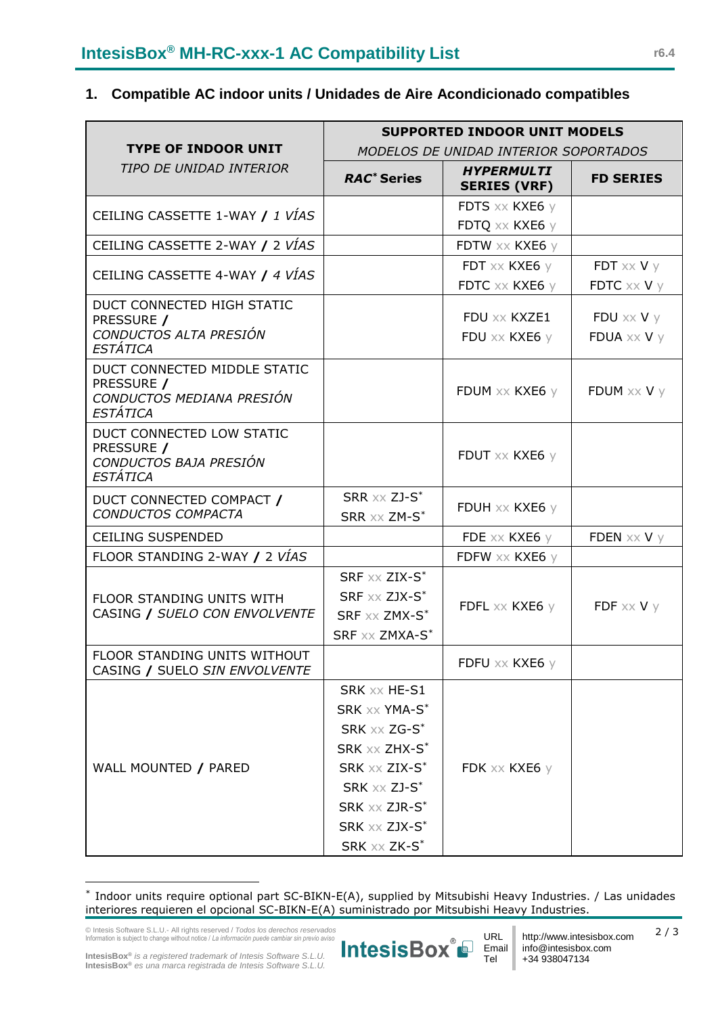## **1. Compatible AC indoor units / Unidades de Aire Acondicionado compatibles**

|                                                                                            | <b>SUPPORTED INDOOR UNIT MODELS</b>                                                                                                                           |                                          |                                   |  |
|--------------------------------------------------------------------------------------------|---------------------------------------------------------------------------------------------------------------------------------------------------------------|------------------------------------------|-----------------------------------|--|
| <b>TYPE OF INDOOR UNIT</b><br>TIPO DE UNIDAD INTERIOR                                      | MODELOS DE UNIDAD INTERIOR SOPORTADOS                                                                                                                         |                                          |                                   |  |
|                                                                                            | <b>RAC<sup>*</sup></b> Series                                                                                                                                 | <b>HYPERMULTI</b><br><b>SERIES (VRF)</b> | <b>FD SERIES</b>                  |  |
| CEILING CASSETTE 1-WAY / 1 VÍAS                                                            |                                                                                                                                                               | FDTS xx KXE6 y                           |                                   |  |
|                                                                                            |                                                                                                                                                               | FDTQ xx KXE6 y                           |                                   |  |
| CEILING CASSETTE 2-WAY / 2 VÍAS                                                            |                                                                                                                                                               | FDTW xx KXE6 y                           |                                   |  |
| CEILING CASSETTE 4-WAY / 4 VÍAS                                                            |                                                                                                                                                               | FDT xx KXE6 y                            | $FDT \times\!\!\times V$ y        |  |
|                                                                                            |                                                                                                                                                               | FDTC xx KXE6 y                           | FDTC $\times \times$ V $\times$   |  |
| DUCT CONNECTED HIGH STATIC<br>PRESSURE /<br>CONDUCTOS ALTA PRESIÓN<br><b>ESTÁTICA</b>      |                                                                                                                                                               | FDU xx KXZE1<br>FDU xx KXE6 y            | $FDU \times x V y$<br>FDUA xx V y |  |
| DUCT CONNECTED MIDDLE STATIC<br>PRESSURE /<br>CONDUCTOS MEDIANA PRESIÓN<br><i>ESTÁTICA</i> |                                                                                                                                                               | FDUM xx KXE6 y                           | FDUM $\times\times$ V $\times$    |  |
| DUCT CONNECTED LOW STATIC<br>PRESSURE /<br>CONDUCTOS BAJA PRESIÓN<br><b>ESTÁTICA</b>       |                                                                                                                                                               | FDUT XX KXE6 y                           |                                   |  |
| DUCT CONNECTED COMPACT /<br><b>CONDUCTOS COMPACTA</b>                                      | $SRR \times X$ ZJ- $S^*$<br>SRR xx ZM-S*                                                                                                                      | FDUH xx KXE6 y                           |                                   |  |
| <b>CEILING SUSPENDED</b>                                                                   |                                                                                                                                                               | FDE $\times\times$ KXE6 $\times$         | FDEN $\times\times$ V $\times$    |  |
| FLOOR STANDING 2-WAY / 2 VÍAS                                                              |                                                                                                                                                               | FDFW xx KXE6 y                           |                                   |  |
| FLOOR STANDING UNITS WITH<br>CASING / SUELO CON ENVOLVENTE                                 | SRF xx ZIX-S*<br>SRF xx ZJX-S*<br>SRF xx ZMX-S*<br>SRF xx ZMXA-S*                                                                                             | FDFL $\times\times$ KXE6 $\times$        | FDF $\times\times$ V $\times$     |  |
| FLOOR STANDING UNITS WITHOUT<br>CASING / SUELO SIN ENVOLVENTE                              |                                                                                                                                                               | FDFU xx KXE6 y                           |                                   |  |
| WALL MOUNTED / PARED                                                                       | SRK xx HE-S1<br>SRK xx YMA-S*<br>SRK xx ZG-S*<br>SRK xx ZHX-S*<br>SRK xx ZIX-S*<br>SRK $X \times Z$ J-S $*$<br>SRK xx ZJR-S*<br>SRK xx ZJX-S*<br>SRK xx ZK-S* | FDK xx KXE6 y                            |                                   |  |

<sup>\*</sup> Indoor units require optional part SC-BIKN-E(A), supplied by Mitsubishi Heavy Industries. / Las unidades interiores requieren el opcional SC-BIKN-E(A) suministrado por Mitsubishi Heavy Industries.

© Intesis Software S.L.U.- All rights reserved / *Todos los derechos reservados* Information is subject to change without notice / *La información puede cambiar sin previo aviso*

<span id="page-1-0"></span>URL IntesisBox P Tel



2 / 3

**IntesisBox®** *is a registered trademark of Intesis Software S.L.U.* **IntesisBox®** *es una marca registrada de Intesis Software S.L.U.*